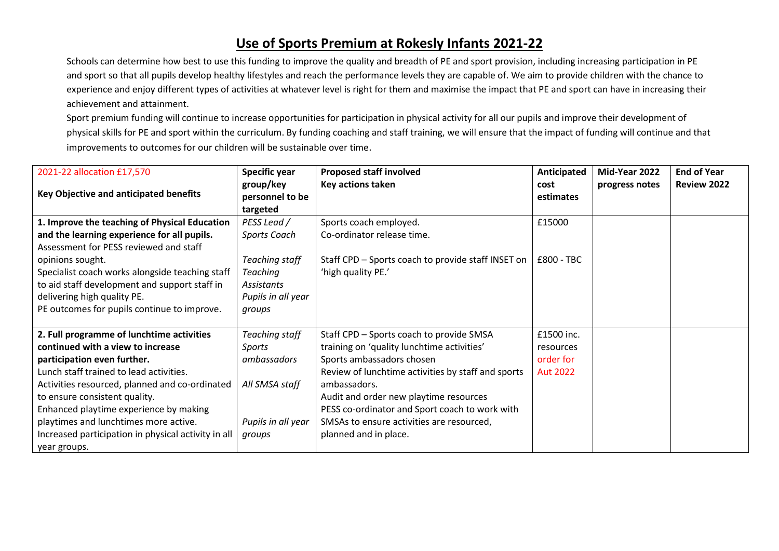## **Use of Sports Premium at Rokesly Infants 2021-22**

Schools can determine how best to use this funding to improve the quality and breadth of PE and sport provision, including increasing participation in PE and sport so that all pupils develop healthy lifestyles and reach the performance levels they are capable of. We aim to provide children with the chance to experience and enjoy different types of activities at whatever level is right for them and maximise the impact that PE and sport can have in increasing their achievement and attainment.

Sport premium funding will continue to increase opportunities for participation in physical activity for all our pupils and improve their development of physical skills for PE and sport within the curriculum. By funding coaching and staff training, we will ensure that the impact of funding will continue and that improvements to outcomes for our children will be sustainable over time.

| 2021-22 allocation £17,570                          | Specific year<br>group/key | <b>Proposed staff involved</b><br>Key actions taken | Anticipated<br>cost | Mid-Year 2022<br>progress notes | <b>End of Year</b><br><b>Review 2022</b> |
|-----------------------------------------------------|----------------------------|-----------------------------------------------------|---------------------|---------------------------------|------------------------------------------|
| <b>Key Objective and anticipated benefits</b>       | personnel to be            |                                                     | estimates           |                                 |                                          |
|                                                     | targeted                   |                                                     |                     |                                 |                                          |
| 1. Improve the teaching of Physical Education       | PESS Lead /                | Sports coach employed.                              | £15000              |                                 |                                          |
| and the learning experience for all pupils.         | Sports Coach               | Co-ordinator release time.                          |                     |                                 |                                          |
| Assessment for PESS reviewed and staff              |                            |                                                     |                     |                                 |                                          |
| opinions sought.                                    | Teaching staff             | Staff CPD - Sports coach to provide staff INSET on  | £800 - TBC          |                                 |                                          |
| Specialist coach works alongside teaching staff     | <b>Teaching</b>            | 'high quality PE.'                                  |                     |                                 |                                          |
| to aid staff development and support staff in       | Assistants                 |                                                     |                     |                                 |                                          |
| delivering high quality PE.                         | Pupils in all year         |                                                     |                     |                                 |                                          |
| PE outcomes for pupils continue to improve.         | groups                     |                                                     |                     |                                 |                                          |
|                                                     |                            |                                                     |                     |                                 |                                          |
| 2. Full programme of lunchtime activities           | Teaching staff             | Staff CPD - Sports coach to provide SMSA            | £1500 inc.          |                                 |                                          |
| continued with a view to increase                   | Sports                     | training on 'quality lunchtime activities'          | resources           |                                 |                                          |
| participation even further.                         | ambassadors                | Sports ambassadors chosen                           | order for           |                                 |                                          |
| Lunch staff trained to lead activities.             |                            | Review of lunchtime activities by staff and sports  | <b>Aut 2022</b>     |                                 |                                          |
| Activities resourced, planned and co-ordinated      | All SMSA staff             | ambassadors.                                        |                     |                                 |                                          |
| to ensure consistent quality.                       |                            | Audit and order new playtime resources              |                     |                                 |                                          |
| Enhanced playtime experience by making              |                            | PESS co-ordinator and Sport coach to work with      |                     |                                 |                                          |
| playtimes and lunchtimes more active.               | Pupils in all year         | SMSAs to ensure activities are resourced,           |                     |                                 |                                          |
| Increased participation in physical activity in all | groups                     | planned and in place.                               |                     |                                 |                                          |
| year groups.                                        |                            |                                                     |                     |                                 |                                          |